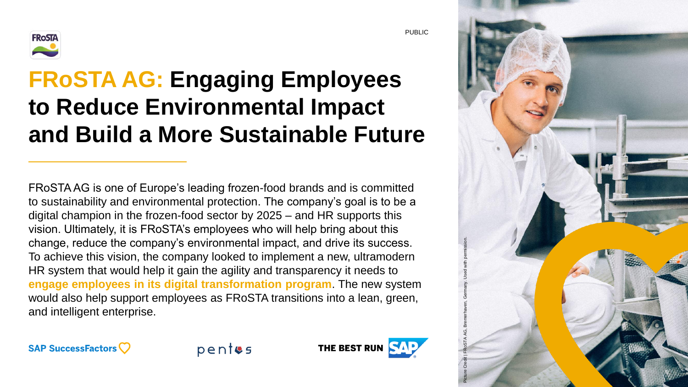

# **FRoSTA AG: Engaging Employees to Reduce Environmental Impact and Build a More Sustainable Future**

FRoSTA AG is one of Europe's leading frozen-food brands and is committed to sustainability and environmental protection. The company's goal is to be a digital champion in the frozen-food sector by 2025 – and HR supports this vision. Ultimately, it is FRoSTA's employees who will help bring about this change, reduce the company's environmental impact, and drive its success. To achieve this vision, the company looked to implement a new, ultramodern HR system that would help it gain the agility and transparency it needs to **engage employees in its digital transformation program**. The new system would also help support employees as FRoSTA transitions into a lean, green, and intelligent enterprise.





PUBLIC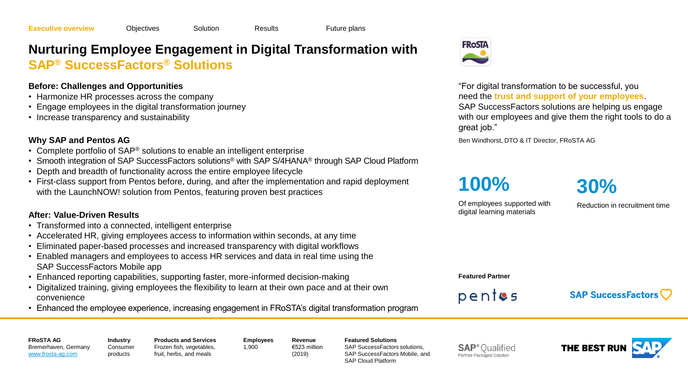## <span id="page-1-0"></span>**Nurturing Employee Engagement in Digital Transformation with SAP® SuccessFactors® Solutions**

### **Before: Challenges and Opportunities**

- Harmonize HR processes across the company
- Engage employees in the digital transformation journey
- Increase transparency and sustainability

### **Why SAP and Pentos AG**

- Complete portfolio of SAP<sup>®</sup> solutions to enable an intelligent enterprise
- Smooth integration of SAP SuccessFactors solutions® with SAP S/4HANA® through SAP Cloud Platform
- Depth and breadth of functionality across the entire employee lifecycle
- First-class support from Pentos before, during, and after the implementation and rapid deployment with the LaunchNOW! solution from Pentos, featuring proven best practices

### **After: Value-Driven Results**

• Transformed into a connected, intelligent enterprise

**Industry**

products

- Accelerated HR, giving employees access to information within seconds, at any time
- Eliminated paper-based processes and increased transparency with digital workflows
- Enabled managers and employees to access HR services and data in real time using the SAP SuccessFactors Mobile app
- Enhanced reporting capabilities, supporting faster, more-informed decision-making
- Digitalized training, giving employees the flexibility to learn at their own pace and at their own convenience
- Enhanced the employee experience, increasing engagement in FRoSTA's digital transformation program

1,900



"For digital transformation to be successful, you need the **trust and support of your employees**. SAP SuccessFactors solutions are helping us engage with our employees and give them the right tools to do a great job."

Ben Windhorst, DTO & IT Director, FRoSTA AG

**100%**

**30%**

Of employees supported with digital learning materials

Reduction in recruitment time

**Featured Partner**

 $pentes$ 

**SAP SuccessFactors** 

**FRoSTA AG** Bremerhaven, Germany [www.frosta-ag.com](https://www.frosta-ag.com/en/)

**Consumer** 

**Products and Services** Frozen fish, vegetables, fruit, herbs, and meals

**Employees Revenue** €523 million (2019)

**Featured Solutions** SAP SuccessFactors solutions, SAP SuccessFactors Mobile, and SAP Cloud Platform

**SAP**<sup>®</sup> Qualified Partner-Packaged Solution

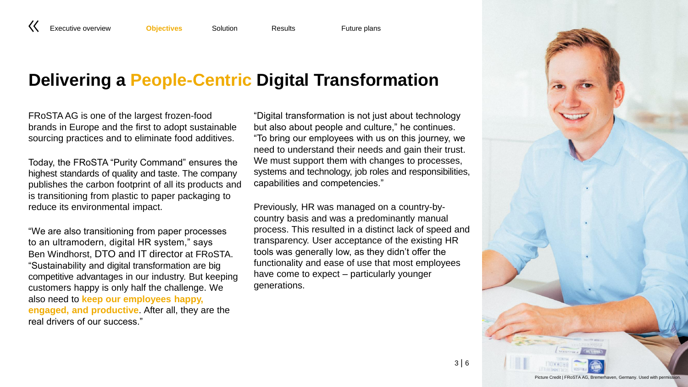<span id="page-2-0"></span>[Executive overview](#page-1-0) **[Objectives](#page-2-0)** [Solution](#page-3-0) [Results](#page-4-0) **[Future plans](#page-5-0)** 

## **Delivering a People-Centric Digital Transformation**

FRoSTA AG is one of the largest frozen-food brands in Europe and the first to adopt sustainable sourcing practices and to eliminate food additives.

Today, the FRoSTA "Purity Command" ensures the highest standards of quality and taste. The company publishes the carbon footprint of all its products and is transitioning from plastic to paper packaging to reduce its environmental impact.

"We are also transitioning from paper processes to an ultramodern, digital HR system," says Ben Windhorst, DTO and IT director at FRoSTA. "Sustainability and digital transformation are big competitive advantages in our industry. But keeping customers happy is only half the challenge. We also need to **keep our employees happy, engaged, and productive**. After all, they are the real drivers of our success."

"Digital transformation is not just about technology but also about people and culture," he continues. "To bring our employees with us on this journey, we need to understand their needs and gain their trust. We must support them with changes to processes, systems and technology, job roles and responsibilities, capabilities and competencies."

Previously, HR was managed on a country-bycountry basis and was a predominantly manual process. This resulted in a distinct lack of speed and transparency. User acceptance of the existing HR tools was generally low, as they didn't offer the functionality and ease of use that most employees have come to expect – particularly younger generations.

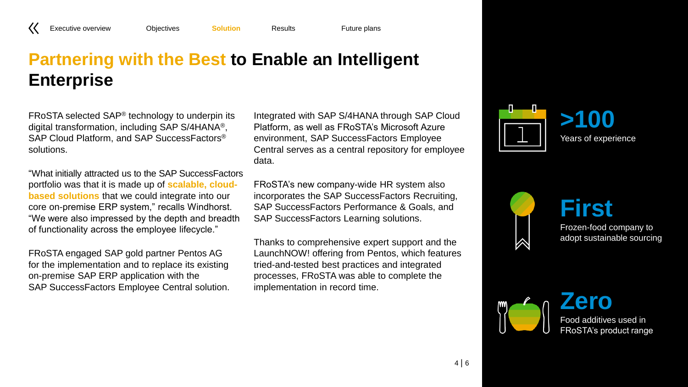### <span id="page-3-0"></span>[Executive overview](#page-1-0) [Objectives](#page-2-0) **[Solution](#page-3-0)** [Results](#page-4-0) [Future plans](#page-5-0)

## **Partnering with the Best to Enable an Intelligent Enterprise**

FRoSTA selected SAP® technology to underpin its digital transformation, including SAP S/4HANA®, SAP Cloud Platform, and SAP SuccessFactors® solutions.

"What initially attracted us to the SAP SuccessFactors portfolio was that it is made up of **scalable, cloudbased solutions** that we could integrate into our core on-premise ERP system," recalls Windhorst. "We were also impressed by the depth and breadth of functionality across the employee lifecycle."

FRoSTA engaged SAP gold partner Pentos AG for the implementation and to replace its existing on-premise SAP ERP application with the SAP SuccessFactors Employee Central solution.

Integrated with SAP S/4HANA through SAP Cloud Platform, as well as FRoSTA's Microsoft Azure environment, SAP SuccessFactors Employee Central serves as a central repository for employee data.

FRoSTA's new company-wide HR system also incorporates the SAP SuccessFactors Recruiting, SAP SuccessFactors Performance & Goals, and SAP SuccessFactors Learning solutions.

Thanks to comprehensive expert support and the LaunchNOW! offering from Pentos, which features tried-and-tested best practices and integrated processes, FRoSTA was able to complete the implementation in record time.





Frozen-food company to adopt sustainable sourcing



|∕

Food additives used in FRoSTA's product range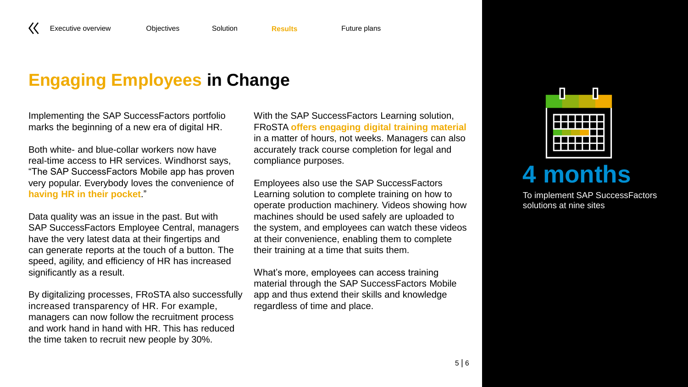## <span id="page-4-0"></span>**Engaging Employees in Change**

Implementing the SAP SuccessFactors portfolio marks the beginning of a new era of digital HR.

Both white- and blue-collar workers now have real-time access to HR services. Windhorst says, "The SAP SuccessFactors Mobile app has proven very popular. Everybody loves the convenience of **having HR in their pocket**."

Data quality was an issue in the past. But with SAP SuccessFactors Employee Central, managers have the very latest data at their fingertips and can generate reports at the touch of a button. The speed, agility, and efficiency of HR has increased significantly as a result.

By digitalizing processes, FRoSTA also successfully increased transparency of HR. For example, managers can now follow the recruitment process and work hand in hand with HR. This has reduced the time taken to recruit new people by 30%.

With the SAP SuccessFactors Learning solution, FRoSTA **offers engaging digital training material** in a matter of hours, not weeks. Managers can also accurately track course completion for legal and compliance purposes.

Employees also use the SAP SuccessFactors Learning solution to complete training on how to operate production machinery. Videos showing how machines should be used safely are uploaded to the system, and employees can watch these videos at their convenience, enabling them to complete their training at a time that suits them.

What's more, employees can access training material through the SAP SuccessFactors Mobile app and thus extend their skills and knowledge regardless of time and place.



# **4 months**

To implement SAP SuccessFactors solutions at nine sites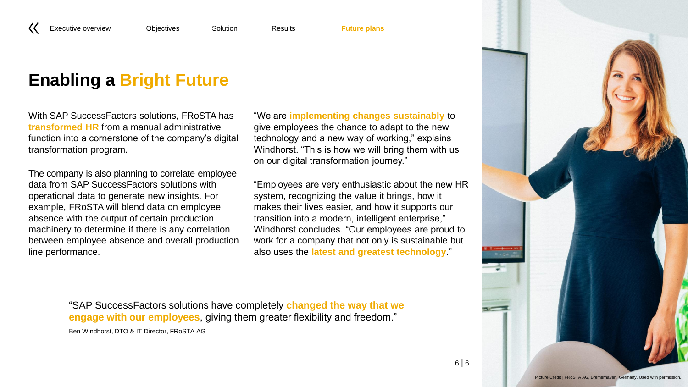## <span id="page-5-0"></span>**Enabling a Bright Future**

With SAP SuccessFactors solutions, FRoSTA has **transformed HR** from a manual administrative function into a cornerstone of the company's digital transformation program.

The company is also planning to correlate employee data from SAP SuccessFactors solutions with operational data to generate new insights. For example, FRoSTA will blend data on employee absence with the output of certain production machinery to determine if there is any correlation between employee absence and overall production line performance.

"We are **implementing changes sustainably** to give employees the chance to adapt to the new technology and a new way of working," explains Windhorst. "This is how we will bring them with us on our digital transformation journey."

"Employees are very enthusiastic about the new HR system, recognizing the value it brings, how it makes their lives easier, and how it supports our transition into a modern, intelligent enterprise," Windhorst concludes. "Our employees are proud to work for a company that not only is sustainable but also uses the **latest and greatest technology**."

"SAP SuccessFactors solutions have completely **changed the way that we engage with our employees**, giving them greater flexibility and freedom." Ben Windhorst, DTO & IT Director, FRoSTA AG



6 | 6